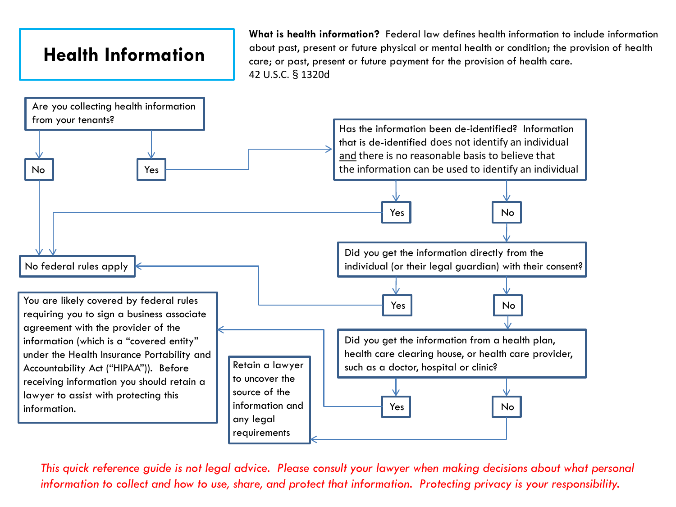## **Health Information**

**What is health information?** Federal law defines health information to include information about past, present or future physical or mental health or condition; the provision of health care; or past, present or future payment for the provision of health care. 42 U.S.C. § 1320d

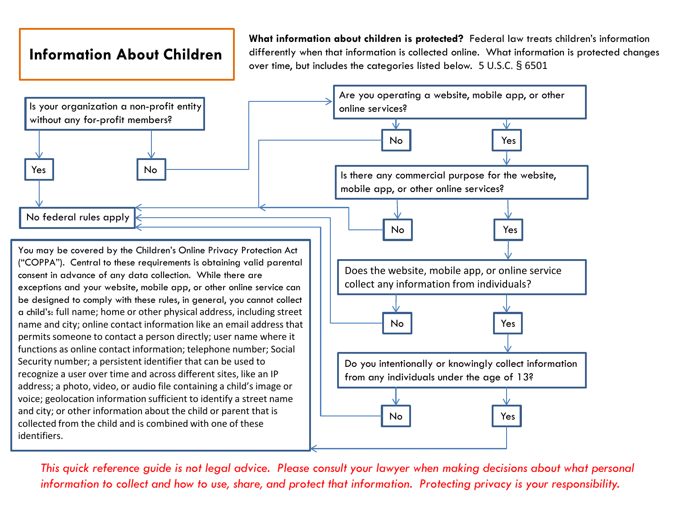## **Information About Children**

**What information about children is protected?** Federal law treats children's information differently when that information is collected online. What information is protected changes over time, but includes the categories listed below. 5 U.S.C. § 6501

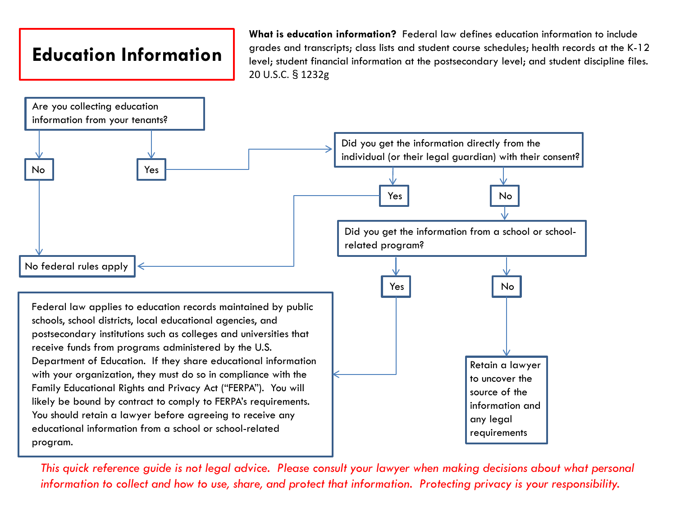## **Education Information**

**What is education information?** Federal law defines education information to include grades and transcripts; class lists and student course schedules; health records at the K-12 level; student financial information at the postsecondary level; and student discipline files. 20 U.S.C. § 1232g